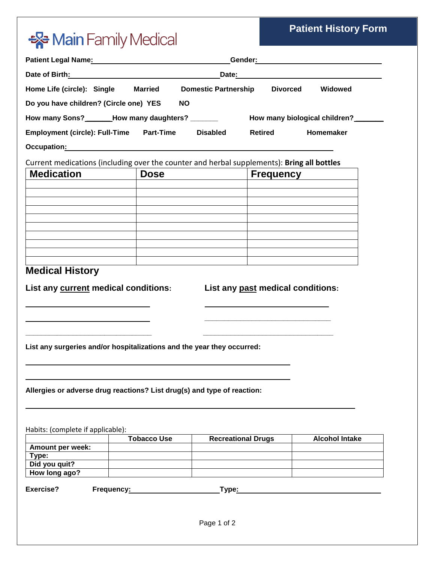### **Patient History Form**

# \*\* Main Family Medical

|                                                                                                                                                                                                                                      | Patient Legal Name: Manual Communication Center: Communication Center: Manual Center:                          |                           |                                                                                                                      |                       |  |  |  |  |  |  |
|--------------------------------------------------------------------------------------------------------------------------------------------------------------------------------------------------------------------------------------|----------------------------------------------------------------------------------------------------------------|---------------------------|----------------------------------------------------------------------------------------------------------------------|-----------------------|--|--|--|--|--|--|
|                                                                                                                                                                                                                                      | Date of Birth: National Property of Birth Street, and the Street Street Street Street Street Street Street Str |                           |                                                                                                                      |                       |  |  |  |  |  |  |
| Home Life (circle): Single Married                                                                                                                                                                                                   | <b>Domestic Partnership Divorced</b><br>Widowed                                                                |                           |                                                                                                                      |                       |  |  |  |  |  |  |
| Do you have children? (Circle one) YES                                                                                                                                                                                               |                                                                                                                | <b>NO</b>                 |                                                                                                                      |                       |  |  |  |  |  |  |
|                                                                                                                                                                                                                                      |                                                                                                                |                           |                                                                                                                      |                       |  |  |  |  |  |  |
| Employment (circle): Full-Time Part-Time                                                                                                                                                                                             |                                                                                                                | <b>Disabled</b>           | <b>Retired</b>                                                                                                       | Homemaker             |  |  |  |  |  |  |
| Occupation: <u>contract and contract and contract and contract and contract and contract and contract and contract and contract and contract and contract and contract and contract and contract and contract and contract and c</u> |                                                                                                                |                           |                                                                                                                      |                       |  |  |  |  |  |  |
| Current medications (including over the counter and herbal supplements): Bring all bottles                                                                                                                                           |                                                                                                                |                           |                                                                                                                      |                       |  |  |  |  |  |  |
| <b>Medication</b>                                                                                                                                                                                                                    | <b>Dose</b>                                                                                                    |                           | <b>Frequency</b>                                                                                                     |                       |  |  |  |  |  |  |
|                                                                                                                                                                                                                                      |                                                                                                                |                           |                                                                                                                      |                       |  |  |  |  |  |  |
|                                                                                                                                                                                                                                      |                                                                                                                |                           |                                                                                                                      |                       |  |  |  |  |  |  |
|                                                                                                                                                                                                                                      |                                                                                                                |                           |                                                                                                                      |                       |  |  |  |  |  |  |
|                                                                                                                                                                                                                                      |                                                                                                                |                           |                                                                                                                      |                       |  |  |  |  |  |  |
|                                                                                                                                                                                                                                      |                                                                                                                |                           |                                                                                                                      |                       |  |  |  |  |  |  |
|                                                                                                                                                                                                                                      |                                                                                                                |                           |                                                                                                                      |                       |  |  |  |  |  |  |
|                                                                                                                                                                                                                                      |                                                                                                                |                           |                                                                                                                      |                       |  |  |  |  |  |  |
|                                                                                                                                                                                                                                      |                                                                                                                |                           |                                                                                                                      |                       |  |  |  |  |  |  |
| <b>Medical History</b>                                                                                                                                                                                                               |                                                                                                                |                           |                                                                                                                      |                       |  |  |  |  |  |  |
| List any current medical conditions:                                                                                                                                                                                                 |                                                                                                                |                           | List any past medical conditions:                                                                                    |                       |  |  |  |  |  |  |
|                                                                                                                                                                                                                                      |                                                                                                                |                           |                                                                                                                      |                       |  |  |  |  |  |  |
| List any surgeries and/or hospitalizations and the year they occurred:                                                                                                                                                               |                                                                                                                |                           | <u> 1989 - Johann Barn, mars eta bat eta bat eta bat eta bat eta bat ez arteko harta bat eta bat ez arteko harta</u> |                       |  |  |  |  |  |  |
| Allergies or adverse drug reactions? List drug(s) and type of reaction:                                                                                                                                                              |                                                                                                                |                           |                                                                                                                      |                       |  |  |  |  |  |  |
| Habits: (complete if applicable):                                                                                                                                                                                                    |                                                                                                                |                           |                                                                                                                      |                       |  |  |  |  |  |  |
|                                                                                                                                                                                                                                      | <b>Tobacco Use</b>                                                                                             | <b>Recreational Drugs</b> |                                                                                                                      | <b>Alcohol Intake</b> |  |  |  |  |  |  |
| Amount per week:                                                                                                                                                                                                                     |                                                                                                                |                           |                                                                                                                      |                       |  |  |  |  |  |  |
| Type:<br>Did you quit?                                                                                                                                                                                                               |                                                                                                                |                           |                                                                                                                      |                       |  |  |  |  |  |  |
| How long ago?                                                                                                                                                                                                                        |                                                                                                                |                           |                                                                                                                      |                       |  |  |  |  |  |  |
|                                                                                                                                                                                                                                      |                                                                                                                |                           |                                                                                                                      |                       |  |  |  |  |  |  |